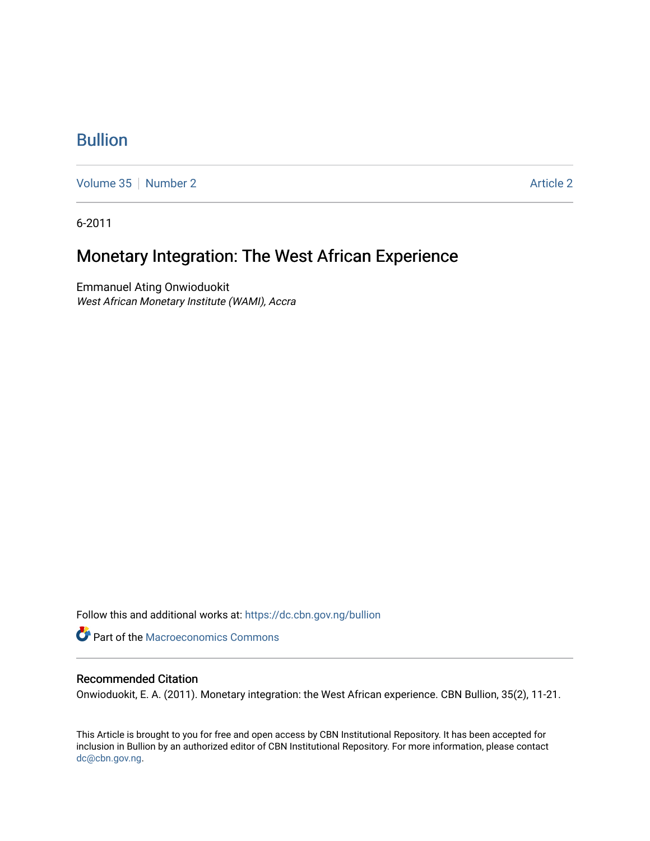# [Bullion](https://dc.cbn.gov.ng/bullion)

[Volume 35](https://dc.cbn.gov.ng/bullion/vol35) [Number 2](https://dc.cbn.gov.ng/bullion/vol35/iss2) Article 2

6-2011

# Monetary Integration: The West African Experience

Emmanuel Ating Onwioduokit West African Monetary Institute (WAMI), Accra

Follow this and additional works at: [https://dc.cbn.gov.ng/bullion](https://dc.cbn.gov.ng/bullion?utm_source=dc.cbn.gov.ng%2Fbullion%2Fvol35%2Fiss2%2F2&utm_medium=PDF&utm_campaign=PDFCoverPages) 

**P** Part of the [Macroeconomics Commons](http://network.bepress.com/hgg/discipline/350?utm_source=dc.cbn.gov.ng%2Fbullion%2Fvol35%2Fiss2%2F2&utm_medium=PDF&utm_campaign=PDFCoverPages)

# Recommended Citation

Onwioduokit, E. A. (2011). Monetary integration: the West African experience. CBN Bullion, 35(2), 11-21.

This Article is brought to you for free and open access by CBN Institutional Repository. It has been accepted for inclusion in Bullion by an authorized editor of CBN Institutional Repository. For more information, please contact [dc@cbn.gov.ng](mailto:dc@cbn.gov.ng).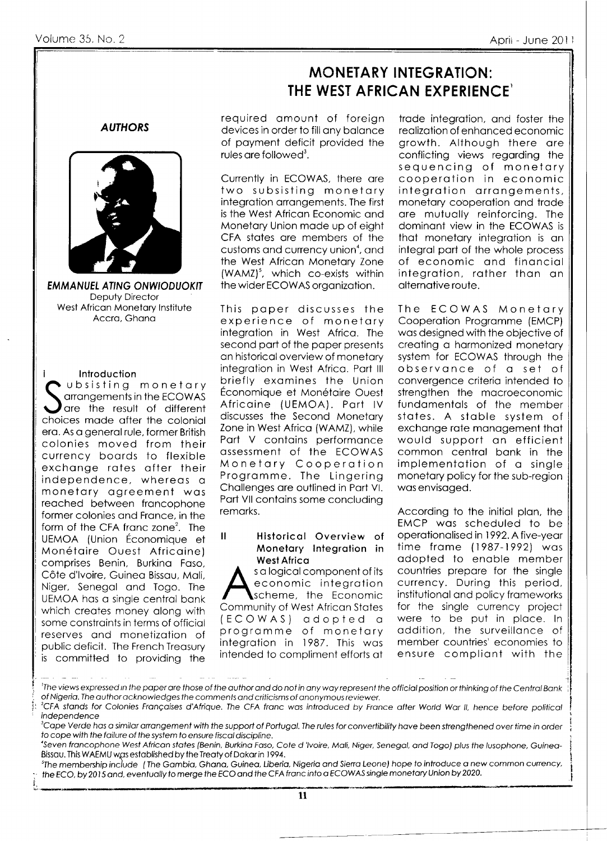# **MONETARY INTEGRATION:** THE WEST AFRICAN EXPERIENCE

**AUTHORS** 



**EMMANUEL ATING ONWIODUOKIT** Deputy Director West African Monetary Institute Accra, Ghana

Introduction ubsisting monetary arrangements in the ECOWAS are the result of different choices made after the colonial era. As a general rule, former British colonies moved from their currency boards to flexible exchange rates after their independence, whereas a monetary agreement was reached between francophone former colonies and France, in the form of the CFA franc zone<sup>2</sup>. The UEMOA (Union Économique et Monétaire Ouest Africaine) comprises Benin, Burkina Faso, Côte d'Ivoire, Guinea Bissau, Mali, Niger, Senegal and Togo. The UEMOA has a single central bank which creates money along with some constraints in terms of official reserves and monetization of public deficit. The French Treasury is committed to providing the required amount of foreign devices in order to fill any balance of payment deficit provided the rules are followed<sup>3</sup>.

Currently in ECOWAS, there are two subsisting monetary integration arrangements. The first is the West African Economic and Monetary Union made up of eight CFA states are members of the customs and currency union<sup>4</sup>, and the West African Monetary Zone (WAMZ)<sup>5</sup>, which co-exists within the wider ECOWAS organization.

This paper discusses the experience of monetary integration in West Africa. The second part of the paper presents an historical overview of monetary integration in West Africa. Part III briefly examines the Union Économique et Monétaire Ouest Africaine (UEMOA). Part IV discusses the Second Monetary Zone in West Africa (WAMZ), while Part V contains performance assessment of the ECOWAS Monetary Cooperation Programme. The Lingering Challenges are outlined in Part VI. Part VII contains some concluding remarks.

 $\mathbf{\mathbf{H}}$ Historical Overview of Monetary Integration in **West Africa** 

s a logical component of its economic integration scheme, the Economic Community of West African States (ECOWAS) adopted a programme of monetary integration in 1987. This was intended to compliment efforts at

trade integration, and foster the realization of enhanced economic growth. Although there are conflicting views regarding the sequencing of monetary cooperation in economic integration arrangements, monetary cooperation and trade are mutually reinforcing. The dominant view in the ECOWAS is that monetary integration is an integral part of the whole process of economic and financial integration, rather than an alternative route.

The ECOWAS Monetary Cooperation Programme (EMCP) was designed with the objective of creating a harmonized monetary system for ECOWAS through the observance of a set of convergence criteria intended to strengthen the macroeconomic fundamentals of the member states. A stable system of exchange rate management that would support an efficient common central bank in the implementation of a single monetary policy for the sub-region was envisaged.

According to the initial plan, the EMCP was scheduled to be operationalised in 1992. A five-year time frame (1987-1992) was adopted to enable member countries prepare for the single currency. During this period, institutional and policy frameworks for the single currency project were to be put in place. In addition, the surveillance of member countries' economies to ensure compliant with the

<sup>s</sup>The membership include (The Gambia, Ghana, Guinea, Liberia, Nigeria and Sierra Leone) hope to introduce a new common currency, the ECO, by 2015 and, eventually to merge the ECO and the CFA franc into a ECOWAS single monetary Union by 2020.

 $\mathbf{11}$ 

<sup>&#</sup>x27;The views expressed in the paper are those of the author and do not in any way represent the official position or thinking of the Central Bank of Nigeria. The author acknowledges the comments and criticisms of anonymous reviewer.

<sup>&</sup>lt;sup>2</sup>CFA stands for Colonies Françaises d'Afrique. The CFA franc was introduced by France after World War II, hence before political independence

<sup>&</sup>lt;sup>3</sup>Cape Verde has a similar arrangement with the support of Portugal. The rules for convertibility have been strengthened over time in order to cope with the failure of the system to ensure fiscal discipline.

Seven francophone West African states (Benin, Burkina Faso, Cote d 'Ivoire, Mali, Niger, Senegal, and Togo) plus the Iusophone, Guinea-Bissau. This WAEMU was established by the Treaty of Dakar in 1994.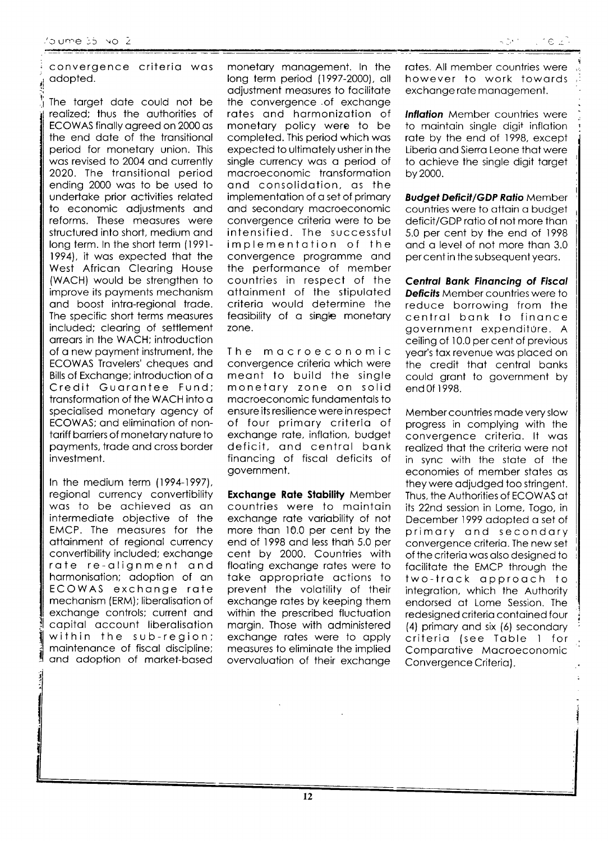convergence criteria was adopted.

The target date could not be realized; thus the authorities of ECOWAS finally agreed on 2000 as the end date of the transitional period for monetary union. This was revised to 2004 and currently 2020. The transitional period ending 2000 was to be used to undertake prior activities related to economic adjustments and reforms. These measures were structured into short, medium and long term. In the short term (1991-1994), it was expected that the West African Clearing House (WACH) would be strengthen to improve its payments mechanism and boost intra-regional trade. The specific short terms measures included; clearing of settlement arrears in the WACH; introduction of a new payment instrument, the ECOWAS Travelers' cheques and Bills of Exchange; introduction of a Credit Guarantee Fund; transformation of the WACH into a specialised monetary agency of ECOWAS; and elimination of nontariff barriers of monetary nature to payments, trade and cross border investment.

In the medium term (1994-1997), regional currency convertibility was to be achieved as an intermediate objective of the EMCP. The measures for the attainment of regional currency convertibility included; exchange rate re-alignment and harmonisation; adoption of an ECOWAS exchange rate mechanism (ERM); liberalisation of exchange controls; current and capital account liberalisation within the sub-region; maintenance of fiscal discipline; and adoption of market-based

monetary management. In the long term period (1997-2000), all adjustment measures to facilitate the convergence of exchange rates and harmonization of monetary policy were to be completed. This period which was expected to ultimately usher in the single currency was a period of macroeconomic transformation and consolidation, as the implementation of a set of primary and secondary macroeconomic convergence criteria were to be intensified. The successful implementation of the convergence programme and the performance of member countries in respect of the attainment of the stipulated criteria would determine the feasibility of a single monetary zone.

The macroeconomic convergence criteria which were meant to build the single monetary zone on solid macroeconomic fundamentals to ensure its resilience were in respect of four primary criteria of exchange rate, inflation, budget deficit, and central bank financing of fiscal deficits of government.

**Exchange Rate Stability Member** countries were to maintain exchange rate variability of not more than 10.0 per cent by the end of 1998 and less than 5.0 per cent by 2000. Countries with floating exchange rates were to take appropriate actions to prevent the volatility of their exchange rates by keeping them within the prescribed fluctuation margin. Those with administered exchange rates were to apply measures to eliminate the implied overvaluation of their exchange

rates. All member countries were however to work towards exchange rate management.

**Inflation** Member countries were to maintain single digit inflation rate by the end of 1998, except Liberia and Sierra Leone that were to achieve the single digit target by 2000.

**Budget Deficit/GDP Ratio Member** countries were to attain a budget deficit/GDP ratio of not more than 5.0 per cent by the end of 1998 and a level of not more than 3.0 per cent in the subsequent years.

**Central Bank Financing of Fiscal Deficits** Member countries were to reduce borrowing from the central bank to finance government expenditure. A ceiling of 10.0 per cent of previous year's tax revenue was placed on the credit that central banks could grant to government by end 0f 1998.

Member countries made very slow progress in complying with the convergence criteria. It was realized that the criteria were not in sync with the state of the economies of member states as they were adjudged too stringent. Thus, the Authorities of ECOWAS at its 22nd session in Lome, Togo, in December 1999 adopted a set of primary and secondary convergence criteria. The new set of the criteria was also designed to facilitate the EMCP through the two-track approach to integration, which the Authority endorsed at Lome Session. The redesigned criteria contained four (4) primary and six (6) secondary criteria (see Table 1 for Comparative Macroeconomic Convergence Criteria).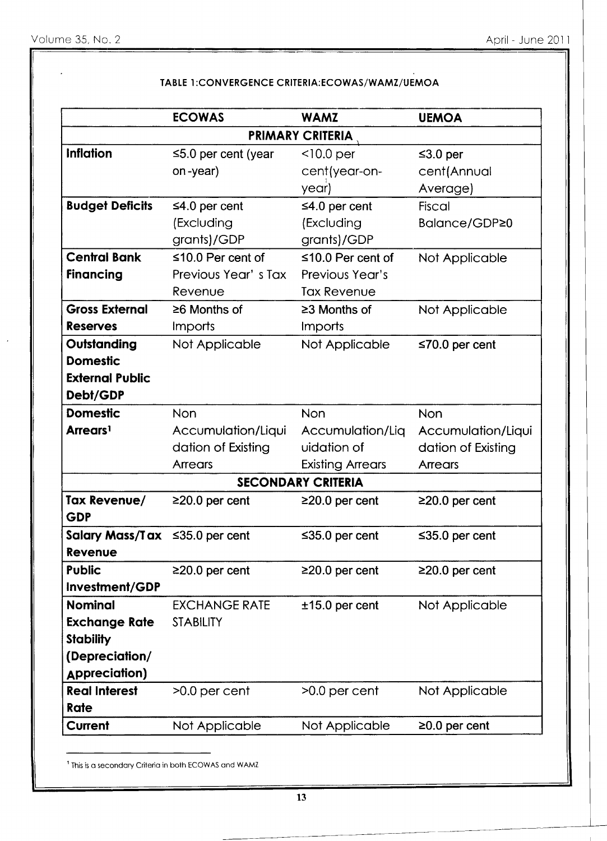|                                      | <b>ECOWAS</b>             | <b>WAMZ</b>               | <b>UEMOA</b>         |
|--------------------------------------|---------------------------|---------------------------|----------------------|
|                                      |                           | <b>PRIMARY CRITERIA</b>   |                      |
| <b>Inflation</b>                     | $\leq$ 5.0 per cent (year | $<$ 10.0 per              | $\leq$ 3.0 per       |
|                                      | on-year)                  | cent(year-on-             | cent(Annual          |
|                                      |                           | year)                     | Average)             |
| <b>Budget Deficits</b>               | $\leq 4.0$ per cent       | $\leq 4.0$ per cent       | Fiscal               |
|                                      | (Excluding                | (Excluding                | Balance/GDP≥0        |
|                                      | grants)/GDP               | grants)/GDP               |                      |
| <b>Central Bank</b>                  | $\leq 10.0$ Per cent of   | $\leq 10.0$ Per cent of   | Not Applicable       |
| <b>Financing</b>                     | Previous Year's Tax       | Previous Year's           |                      |
|                                      | Revenue                   | <b>Tax Revenue</b>        |                      |
| <b>Gross External</b>                | $\geq 6$ Months of        | $\geq$ 3 Months of        | Not Applicable       |
| <b>Reserves</b>                      | Imports                   | Imports                   |                      |
| Outstanding                          | Not Applicable            | Not Applicable            | $\leq 70.0$ per cent |
| <b>Domestic</b>                      |                           |                           |                      |
| <b>External Public</b>               |                           |                           |                      |
| Debt/GDP                             |                           |                           |                      |
| <b>Domestic</b>                      | <b>Non</b>                | <b>Non</b>                | <b>Non</b>           |
| Arrears <sup>1</sup>                 | Accumulation/Liqui        | Accumulation/Liq          | Accumulation/Liqui   |
|                                      | dation of Existing        | uidation of               | dation of Existing   |
|                                      | <b>Arrears</b>            | <b>Existing Arrears</b>   | Arrears              |
|                                      |                           | <b>SECONDARY CRITERIA</b> |                      |
| <b>Tax Revenue/</b>                  | $\geq$ 20.0 per cent      | $\geq$ 20.0 per cent      | $\geq$ 20.0 per cent |
| <b>GDP</b>                           |                           |                           |                      |
| Salary Mass/Tax $\leq$ 35.0 per cent |                           | $\leq$ 35.0 per cent      | ≤35.0 per cent       |
| Revenue                              |                           |                           |                      |
| <b>Public</b>                        | $\geq$ 20.0 per cent      | $\geq$ 20.0 per cent      | $\geq$ 20.0 per cent |
| Investment/GDP                       |                           |                           |                      |
| <b>Nominal</b>                       | <b>EXCHANGE RATE</b>      | $±15.0$ per cent          | Not Applicable       |
| <b>Exchange Rate</b>                 | <b>STABILITY</b>          |                           |                      |
| <b>Stability</b>                     |                           |                           |                      |
| (Depreciation/                       |                           |                           |                      |
| <b>Appreciation)</b>                 |                           |                           |                      |
| <b>Real Interest</b>                 | $>0.0$ per cent           | $>0.0$ per cent           | Not Applicable       |
| Rate                                 |                           |                           |                      |
| <b>Current</b>                       | Not Applicable            | Not Applicable            | $\geq$ 0.0 per cent  |
|                                      |                           |                           |                      |

# TABLE 1:CONVERGENCE CRITERIA: ECOWAS/WAMZ/UEMOA

<sup>1</sup> This is a secondary Criteria in both ECOWAS and WAMZ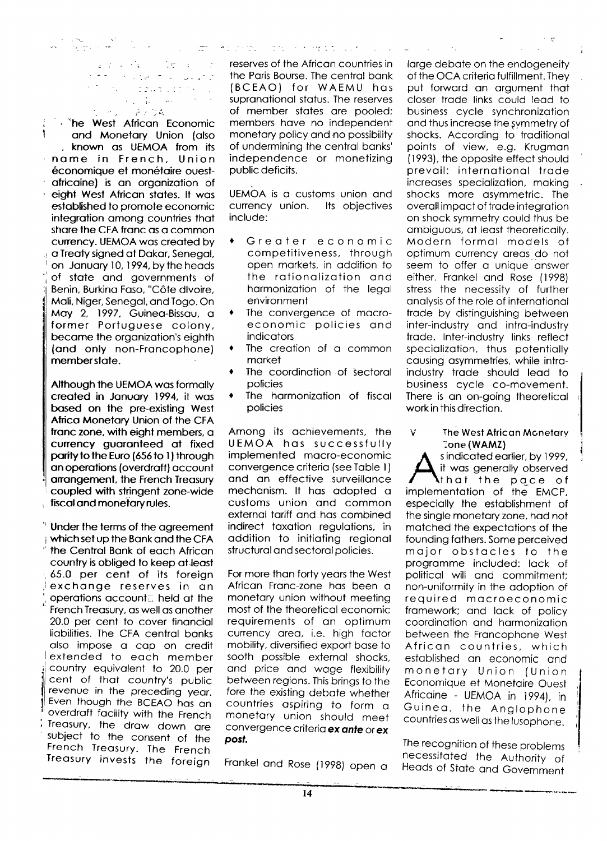$26.4 - 1$ しょうけい  $\frac{1}{\sqrt{2}}$  ,  $\frac{1}{\sqrt{2}}$  $\sim 10^{12}$  $\mathcal{F}=\mathcal{F}^{\mathcal{F}}$  and  $\mathbb{Z}^{\times}$  is  $\sim$ - ディウ森 **Contract** 

 $\sim 10^7$ 

ang pangalang

is "he West African Economic ì and Monetary Union (also . known as UEMOA from its name in French, Union économique et monétaire ouestafricaine) is an organization of eight West African states. It was established to promote economic integration among countries that share the CFA franc as a common currency. UEMOA was created by a Treaty signed at Dakar, Senegal, on January 10, 1994, by the heads of state and governments of Benin, Burkina Faso, "Côte divoire, Mali, Niger, Senegal, and Togo. On May 2, 1997, Guinea-Bissau, a former Portuguese colony, became the organization's eighth (and only non-Francophone) member state.

Although the UEMOA was formally created in January 1994, it was based on the pre-existing West Africa Monetary Union of the CFA franc zone, with eight members, a currency guaranteed at fixed parity to the Euro (656 to 1) through an operations (overdraft) account arrangement, the French Treasury coupled with stringent zone-wide fiscal and monetary rules.

<sup>4</sup> Under the terms of the agreement which set up the Bank and the CFA the Central Bank of each African country is obliged to keep at least 65.0 per cent of its foreign exchange reserves in an operations account. held at the French Treasury, as well as another 20.0 per cent to cover financial liabilities. The CFA central banks also impose a cap on credit extended to each member country equivalent to 20.0 per cent of that country's public revenue in the preceding year. Even though the BCEAO has an overdraft facility with the French Treasury, the draw down are subject to the consent of the French Treasury. The French Treasury invests the foreign

reserves of the African countries in the Paris Bourse. The central bank (BCEAO) for WAEMU has supranational status. The reserves of member states are pooled; members have no independent monetary policy and no possibility of undermining the central banks' independence or monetizing public deficits.

エー・セントの スター・ソーサング コントリコーン

UEMOA is a customs union and currency union. Its objectives include:

- Greater economic  $\bullet$ competitiveness, through open markets, in addition to the rationalization and harmonization of the legal environment
- The convergence of macro-٠ economic policies and indicators
- $\bullet$ The creation of a common market
- The coordination of sectoral policies
- The harmonization of fiscal policies

Among its achievements, the UEMOA has successfully implemented macro-economic convergence criteria (see Table 1) and an effective surveillance mechanism. It has adopted a customs union and common external tariff and has combined indirect taxation regulations, in addition to initiating regional structural and sectoral policies.

For more than forty years the West African Franc-zone has been a monetary union without meeting most of the theoretical economic requirements of an optimum currency area, i.e. high factor mobility, diversified export base to sooth possible external shocks, and price and wage flexibility between regions. This brings to the fore the existing debate whether countries aspiring to form a monetary union should meet convergence criteria ex ante or ex post.

Frankel and Rose (1998) open a

large debate on the endogeneity of the OCA criteria fulfillment. They put forward an argument that closer trade links could lead to business cycle synchronization and thus increase the symmetry of shocks. According to traditional points of view, e.g. Krugman (1993), the opposite effect should prevail: international trade increases specialization, making shocks more asymmetric. The overall impact of trade integration on shock symmetry could thus be ambiguous, at least theoretically. Modern formal models of optimum currency areas do not seem to offer a unique answer either. Frankel and Rose (1998) stress the necessity of further analysis of the role of international trade by distinguishing between inter-industry and intra-industry trade. Inter-industry links reflect specialization, thus potentially causing asymmetries, while intraindustry trade should lead to business cycle co-movement. There is an on-going theoretical work in this direction.

#### V The West African Monetary Tone (WAMZ)

s indicated earlier, by 1999, it was generally observed **\**that the pace of implementation of the EMCP, especially the establishment of the single monetary zone, had not matched the expectations of the founding fathers. Some perceived major obstacles to the programme included: lack of political will and commitment: non-uniformity in the adoption of required macroeconomic framework; and lack of policy coordination and harmonization between the Francophone West African countries, which established an economic and monetary Union (Union Economique et Monetaire Ouest Africaine - UEMOA in 1994), in Guinea, the Anglophone countries as well as the lusophone.

The recognition of these problems necessitated the Authority of Heads of State and Government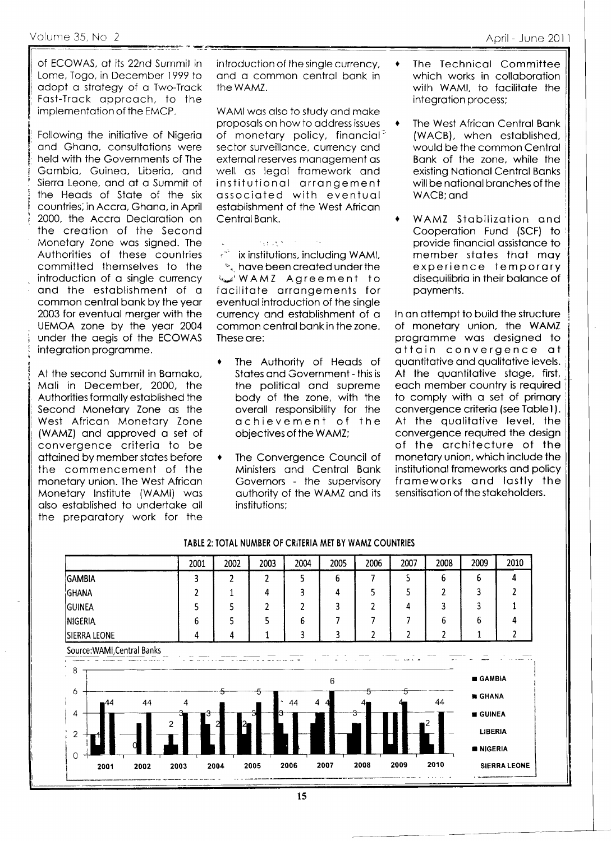of ECOWAS, at its 22nd Summit in Lome, Togo, in December 1999 to adopt a strategy of a Two-Track Fast-Track approach, to the implementation of the EMCP.

Following the initiative of Nigeria and Ghana, consultations were held with the Governments of The Gambia, Guinea, Liberia, and Sierra Leone, and at a Summit of the Heads of State of the six countries, in Accra, Ghana, in April 2000, the Accra Declaration on the creation of the Second Monetary Zone was signed. The Authorities of these countries committed themselves to the introduction of a single currency and the establishment of a common central bank by the year 2003 for eventual merger with the UEMOA zone by the year 2004 under the aegis of the ECOWAS integration programme.

At the second Summit in Bamako, Mali in December, 2000, the Authorities formally established the Second Monetary Zone as the West African Monetary Zone (WAMZ) and approved a set of convergence criteria to be attained by member states before the commencement of the monetary union. The West African Monetary Institute (WAMI) was also established to undertake all the preparatory work for the

introduction of the sinale currency. and a common central bank in the WAMZ.

WAMI was also to study and make proposals on how to address issues of monetary policy, financial<sup>3</sup> sector surveillance, currency and external reserves management as well as leagi framework and institutional arrangement associated with eventual establishment of the West African Central Bank.

**Page 200** 

ix institutions, including WAMI, \*, have been created under the WAMZ Agreement to facilitate arrangements for eventual introduction of the single currency and establishment of a common central bank in the zone. These are:

- The Authority of Heads of States and Government - this is the political and supreme body of the zone, with the overall responsibility for the achievement of the objectives of the WAMZ;
- The Convergence Council of Ministers and Central Bank Governors - the supervisory authority of the WAMZ and its institutions:

The Technical Committee which works in collaboration with WAMI, to facilitate the integration process;

 $\bullet$ 

- The West African Central Bank (WACB), when established, would be the common Central Bank of the zone, while the existing National Central Banks will be national branches of the WACB: and
- WAMZ Stabilization and Cooperation Fund (SCF) to provide financial assistance to member states that may experience temporary disequilibria in their balance of payments.

In an attempt to build the structure of monetary union, the WAMZ programme was designed to attain convergence at quantitative and qualitative levels. At the quantitative stage, first, each member country is required to comply with a set of primary convergence criteria (see Table 1). At the qualitative level, the convergence required the design of the architecture of the monetary union, which include the institutional frameworks and policy frameworks and lastly the sensitisation of the stakeholders.



### TABLE 2: TOTAL NUMBER OF CRITERIA MET BY WAMZ COUNTRIES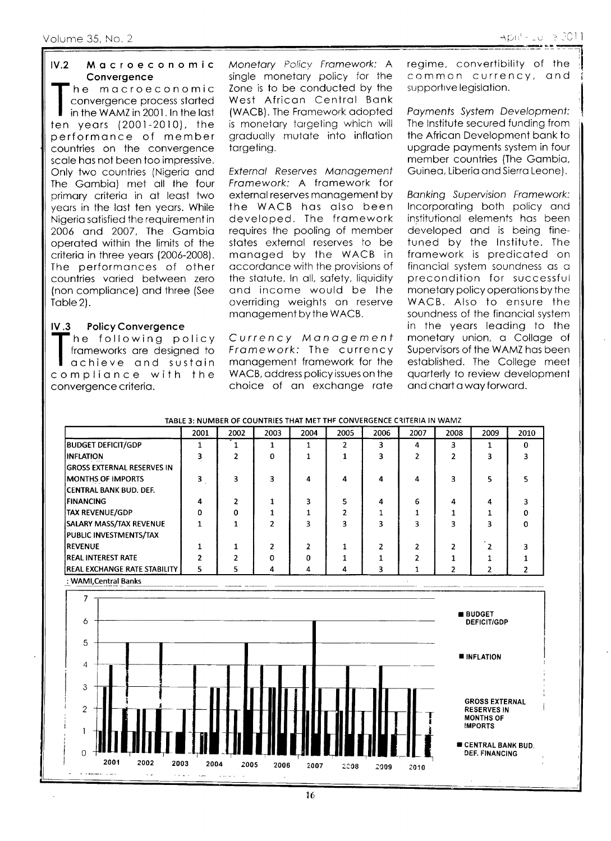#### $IV.2$ Macroeconomic Convergence

'he macroeconomic convergence process started in the WAMZ in 2001. In the last ten years (2001-2010), the performance of member countries on the convergence scale has not been too impressive. Only two countries (Nigeria and The Gambia) met all the four primary criteria in at least two years in the last ten years. While Nigeria satisfied the requirement in 2006 and 2007, The Gambia operated within the limits of the criteria in three years (2006-2008). The performances of other countries varied between zero (non compliance) and three (See Table 2).

#### **Policy Convergence**  $IV.3$

he following policy frameworks are designed to achieve and sustain compliance with the convergence criteria.

Monetary Policy Framework: A single monetary policy for the Zone is to be conducted by the West African Central Bank (WACB). The Framework adopted is monetary targeting which will gradually mutate into inflation targeting.

External Reserves Management Framework: A framework for external reserves management by the WACB has also been developed. The framework requires the pooling of member states external reserves to be managed by the WACB in accordance with the provisions of the statute. In all, safety, liquidity and income would be the overriding weights on reserve management by the WACB.

Currency Management Framework: The currency management framework for the WACB, address policy issues on the choice of an exchange rate regime, convertibility of the common currency, and supportive legislation.

Payments System Development: The Institute secured funding from the African Development bank to uparade payments system in four member countries (The Gambia, Guinea, Liberia and Sierra Leone).

**Banking Supervision Framework:** Incorporating both policy and institutional elements has been developed and is being finetuned by the Institute. The framework is predicated on financial system soundness as a precondition for successful monetary policy operations by the WACB. Also to ensure the soundness of the financial system in the years leading to the monetary union, a Collage of Supervisors of the WAMZ has been established. The College meet quarterly to review development and chart a way forward.

| 2001     |   |          |    | 2005                 | 2006 |   |   | 2009         | 2010 |
|----------|---|----------|----|----------------------|------|---|---|--------------|------|
|          |   |          |    |                      | 3    | 4 | ٩ |              | 0    |
|          |   | $\Omega$ |    |                      |      |   |   |              |      |
|          |   |          |    |                      |      |   |   |              |      |
| 3        |   |          | 4  | 4                    | 4    |   |   | ς            |      |
|          |   |          |    |                      |      |   |   |              |      |
| 4        |   |          |    |                      | 4    | 6 | 4 | 4            |      |
| $\Omega$ | o |          |    |                      |      |   |   |              |      |
|          |   |          |    |                      |      |   |   |              |      |
|          |   |          |    |                      |      |   |   |              |      |
|          |   |          | 2  |                      | 7    |   |   |              |      |
|          |   | 0        | O. |                      |      |   |   |              |      |
| 5        |   | 4        | 4  | 4                    | 3    |   |   |              |      |
|          |   |          |    | 2003<br>2002<br>2004 |      |   |   | 2007<br>2008 |      |

### TABLE 3: NUMBER OF COUNTRIES THAT MET THE CONVERGENCE CRITERIA IN WAMZ

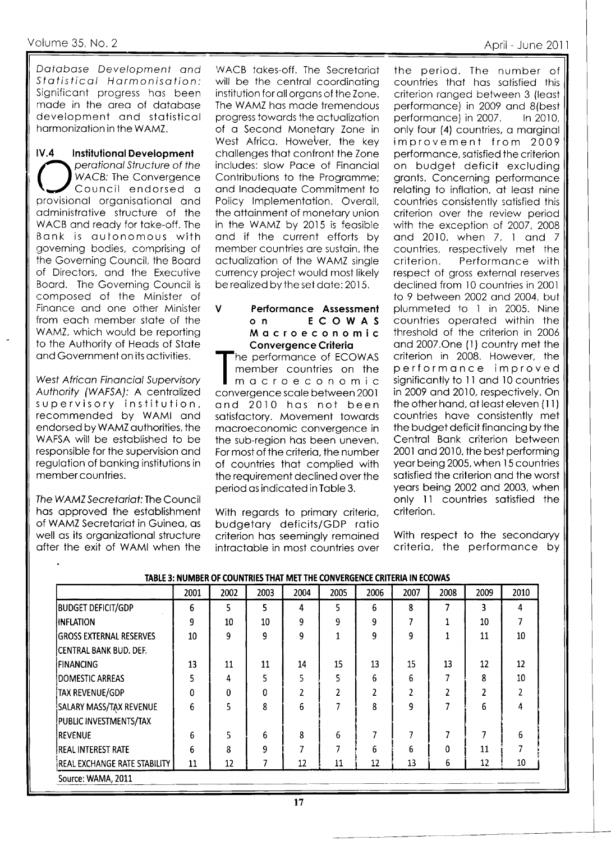Database Development and Statistical Harmonisation: Significant progress has been made in the area of database development and statistical harmonization in the WAMZ.

 $IV.4$ **Institutional Development** perational Structure of the WACB: The Convergence Council endorsed a provisional organisational and administrative structure of the WACB and ready for take-off. The Bank is autonomous with governing bodies, comprising of the Governing Council, the Board of Directors, and the Executive Board. The Governing Council is composed of the Minister of Finance and one other Minister from each member state of the WAMZ, which would be reporting to the Authority of Heads of State and Government on its activities.

West African Financial Supervisory Authority (WAFSA): A centralized supervisory institution, recommended by WAMI and endorsed by WAMZ authorities, the WAFSA will be established to be responsible for the supervision and regulation of banking institutions in member countries.

The WAMZ Secretariat: The Council has approved the establishment of WAMZ Secretariat in Guinea, as well as its organizational structure after the exit of WAMI when the

WACB takes-off. The Secretariat will be the central coordinating institution for all organs of the Zone. The WAMZ has made tremendous progress towards the actualization of a Second Monetary Zone in West Africa. However, the key challenges that confront the Zone includes: slow Pace of Financial Contributions to the Programme; and Inadequate Commitment to Policy Implementation. Overall, the attainment of monetary union in the WAMZ by 2015 is feasible and if the current efforts by member countries are sustain, the actualization of the WAMZ single currency project would most likely be realized by the set date: 2015.

#### $\mathsf{V}$ Performance Assessment ECOWAS  $0<sub>n</sub>$ Macroeconomic **Convergence Criteria**

he performance of ECOWAS member countries on the macroeconomic convergence scale between 2001 and 2010 has not been satisfactory. Movement towards macroeconomic convergence in the sub-region has been uneven. For most of the criteria, the number of countries that complied with the requirement declined over the period as indicated in Table 3.

With regards to primary criteria, budgetary deficits/GDP ratio criterion has seemingly remained intractable in most countries over

the period. The number of countries that has satisfied this criterion ranged between 3 (least performance) in 2009 and 8(best performance) in 2007. In 2010, only four (4) countries, a marginal improvement from 2009 performance, satisfied the criterion on budget deficit excluding grants. Concerning performance relating to inflation, at least nine countries consistently satisfied this criterion over the review period with the exception of 2007, 2008 and 2010, when 7, 1 and 7 countries, respectively met the criterion. Performance with respect of gross external reserves declined from 10 countries in 2001 to 9 between 2002 and 2004, but plummeted to 1 in 2005. Nine countries operated within the threshold of the criterion in 2006 and 2007. One (1) country met the criterion in 2008. However, the performance improved significantly to 11 and 10 countries in 2009 and 2010, respectively. On the other hand, at least eleven (11) countries have consistently met the budget deficit financing by the Central Bank criterion between 2001 and 2010, the best performing year being 2005, when 15 countries satisfied the criterion and the worst years being 2002 and 2003, when only 11 countries satisfied the criterion.

With respect to the secondaryy criteria, the performance by

|                                | 2001 | 2002     | 2003 | 2004 | 2005 | 2006 | 2007          | 2008 | 2009 | 2010           |
|--------------------------------|------|----------|------|------|------|------|---------------|------|------|----------------|
| <b>BUDGET DEFICIT/GDP</b>      | 6    | 5        | 5    | 4    | 5    | 6    | 8             | 7    | 3    | 4              |
| <b>INFLATION</b>               | 9    | 10       | 10   | 9    | 9    | 9    |               | 1    | 10   | 7              |
| <b>GROSS EXTERNAL RESERVES</b> | 10   | 9        | 9    | 9    |      | 9    | 9             |      | 11   | 10             |
| ICENTRAL BANK BUD. DEF.        |      |          |      |      |      |      |               |      |      |                |
| <b>IFINANCING</b>              | 13   | 11       | 11   | 14   | 15   | 13   | 15            | 13   | 12   | 12             |
| DOMESTIC ARREAS                | 5    | 4        | 5    | 5    | 5    | 6    | 6             |      | 8    | 10             |
| TAX REVENUE/GDP                | 0    | $\Omega$ | 0    | 2    | 2    |      | $\mathfrak z$ |      |      | $\overline{2}$ |
| SALARY MASS/TAX REVENUE        | 6    | 5        | 8    | 6    |      | 8    | 9             |      | 6    | 4              |
| PUBLIC INVESTMENTS/TAX         |      |          |      |      |      |      |               |      |      |                |
| <b>REVENUE</b>                 | 6    | 5        | 6    | 8    | 6    |      |               | 7    |      | 6              |
| <b>REAL INTEREST RATE</b>      | 6    | 8        | 9    | 7    | 7    | 6    | 6             | 0    | 11   | 7              |
| REAL EXCHANGE RATE STABILITY   | 11   | 12       | 7    | 12   | 11   | 12   | 13            | 6    | 12   | 10             |
| Source: WAMA, 2011             |      |          |      |      |      |      |               |      |      |                |

# TABLE 3: NUMBER OF COUNTRIES THAT MET THE CONVERGENCE CRITERIA IN ECOWAS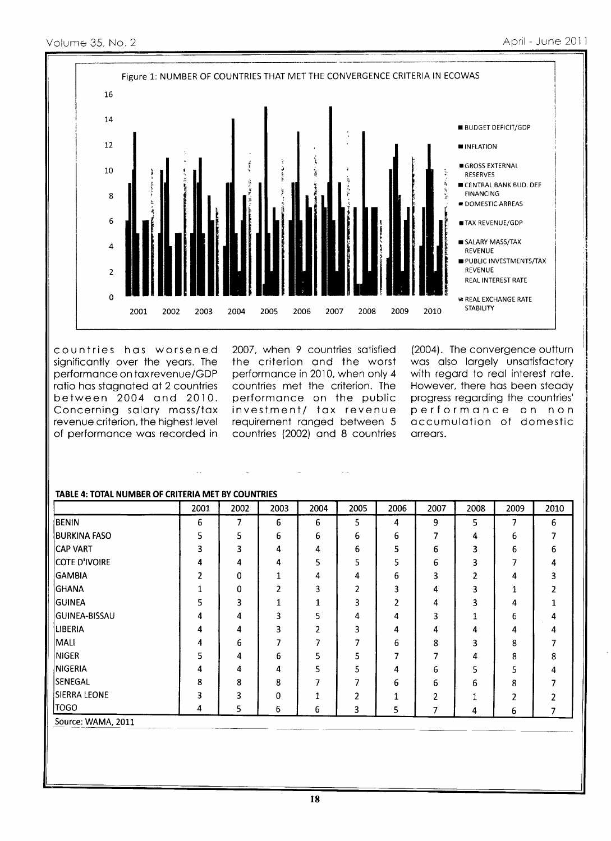

countries has worsened significantly over the years. The performance on tax revenue/GDP ratio has stagnated at 2 countries between 2004 and 2010. Concerning salary mass/tax revenue criterion, the highest level of performance was recorded in

2007, when 9 countries satisfied the criterion and the worst performance in 2010, when only 4 countries met the criterion. The performance on the public investment/ tax revenue requirement ranged between 5 countries (2002) and 8 countries

(2004). The convergence outturn was also largely unsatisfactory with regard to real interest rate. However, there has been steady progress regarding the countries' performance on non accumulation of domestic arrears.

|                      | 2001 | 2002 | 2003 | 2004           | 2005 | 2006 | 2007 | 2008 | 2009 | 2010 |
|----------------------|------|------|------|----------------|------|------|------|------|------|------|
| <b>BENIN</b>         | 6    | 7    | 6    | 6              | 5    | 4    | 9    | 5    | 7    | 6    |
| <b>BURKINA FASO</b>  | 5    | 5    | 6    | 6              | 6    | 6    | 7    | 4    | 6    |      |
| ICAP VART            | 3    | 3    | 4    | 4              | 6    | 5    | 6    | 3    | 6    | 6    |
| <b>COTE D'IVOIRE</b> | 4    | 4    | 4    | 5              | 5    | 5    | 6    | 3    | 7    | 4    |
| <b>GAMBIA</b>        | 2    | 0    | 1    | 4              | 4    | 6    | 3    | 2    | 4    | 3    |
| GHANA                |      | 0    | 2    | 3              | 2    | 3    | 4    | 3    | 1    |      |
| <b>GUINEA</b>        | 5    | 3    | 1    | 1              | 3    | 2    | 4    | 3    | 4    |      |
| <b>GUINEA-BISSAU</b> | 4    | 4    | 3    | 5              | 4    | 4    | 3    | 1    | 6    |      |
| <b>LIBERIA</b>       | 4    | 4    | 3    | $\overline{2}$ | 3    | 4    | 4    | 4    | 4    | 4    |
| MALI                 | 4    | 6    | 7    | 7              | 7    | 6    | 8    | 3    | 8    | 7    |
| <b>NIGER</b>         | 5    | 4    | 6    | 5              | 5    | 7    | 7    | 4    | 8    | 8    |
| <b>NIGERIA</b>       | 4    | 4    | 4    | 5              | 5    | 4    | 6    | 5    | 5    | 4    |
| <b>SENEGAL</b>       | 8    | 8    | 8    | 7              |      | 6    | 6    | 6    | 8    |      |
| <b>SIERRA LEONE</b>  | 3    | 3    | 0    | 1              | 2    | 1    | 2    | 1    | 2    |      |
| <b>TOGO</b>          | 4    | 5.   | 6    | 6              | 3    | 5    | 7    | 4    | 6    | 7    |
| Source: WAMA, 2011   |      |      |      |                |      |      |      |      |      |      |

# **TABLE 4: TOTAL NUMBER OF CRITERIA MET BY COUNTRIES**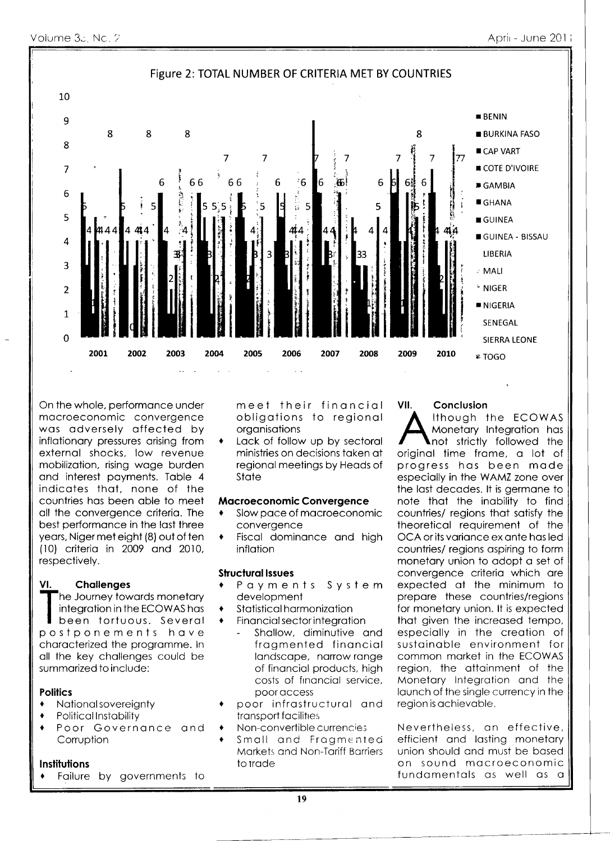

On the whole, performance under macroeconomic convergence was adversely affected by inflationary pressures arising from external shocks, low revenue mobilization, rising wage burden and interest payments. Table 4 indicates that, none of the countries has been able to meet all the convergence criteria. The best performance in the last three years, Niger met eight (8) out of ten (10) criteria in 2009 and 2010, respectively.

#### **Challenges** VI.

The Journey towards monetary integration in the ECOWAS has

been tortuous. Several postponements have characterized the programme. In all the key challenges could be summarized to include:

# **Politics**

- National sovereianty
- **Political Instability**
- Poor Governance and Corruption

### **Institutions**

Failure by governments to

meet their financial obligations to regional organisations

Lack of follow up by sectoral  $\blacklozenge$ ministries on decisions taken at regional meetings by Heads of State

## **Macroeconomic Convergence**

- Slow pace of macroeconomic convergence
- Fiscal dominance and high  $\blacklozenge$ inflation

# **Structural Issues**

- Payments System development
- Statistical harmonization
- $\ddot{\bullet}$ Financial sector integration
	- Shallow, diminutive and fragmented financial landscape, narrow range of financial products, high costs of financial service, poor access
- poor infrastructural and transport facilities
- Non-convertible currencies
- Small and Fragmented Markets and Non-Tariff Barriers to trade

## Conclusion

VII.

Ithough the ECOWAS Monetary Integration has not strictly followed the original time frame, a lot of progress has been made especially in the WAMZ zone over the last decades. It is germane to note that the inability to find countries/ regions that satisty the theoretical requirement of the OCA or its variance ex ante has led countries/ regions aspiring to form monetary union to adopt a set of convergence criteria which are expected at the minimum to prepare these countries/regions for monetary union. It is expected that given the increased tempo, especially in the creation of sustainable environment for common market in the ECOWAS region, the attainment of the Monetary Integration and the launch of the single currency in the region is achievable.

Nevertheless, an effective, efficient and lasting monetary union should and must be based on sound macroeconomic fundamentals as well as a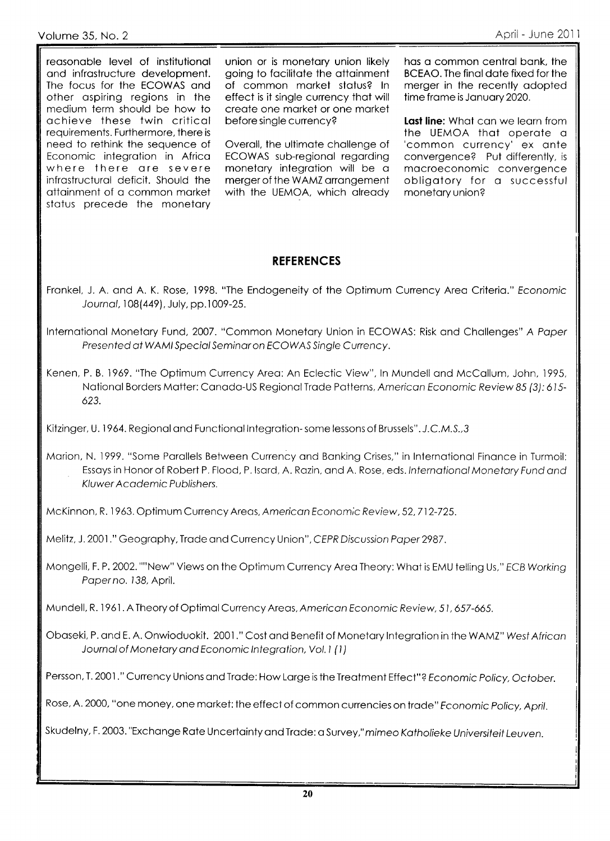reasonable level of institutional and infrastructure development. The focus for the ECOWAS and other aspiring regions in the medium term should be how to achieve these twin critical requirements. Furthermore, there is need to rethink the sequence of Economic integration in Africa where there are severe infrastructural deficit. Should the attainment of a common market status precede the monetary

union or is monetary union likely going to facilitate the attainment of common market status? In effect is it single currency that will create one market or one market before single currency?

Overall, the ultimate challenge of ECOWAS sub-regional regarding monetary integration will be a merger of the WAMZ arrangement with the UEMOA, which already has a common central bank, the BCEAO. The final date fixed for the merger in the recently adopted time frame is January 2020.

Last line: What can we learn from the UEMOA that operate a 'common currency' ex ante convergence? Put differently, is macroeconomic convergence obligatory for a successful monetary union?

# **REFERENCES**

- Frankel, J. A. and A. K. Rose, 1998. "The Endogeneity of the Optimum Currency Area Criteria." Economic Journal, 108(449), July, pp.1009-25.
- International Monetary Fund, 2007. "Common Monetary Union in ECOWAS: Risk and Challenges" A Paper Presented at WAMI Special Seminar on ECOWAS Single Currency.
- Kenen, P. B. 1969. "The Optimum Currency Area: An Eclectic View", In Mundell and McCallum, John, 1995, National Borders Matter: Canada-US Regional Trade Patterns, American Economic Review 85 (3): 615-623.

Kitzinger, U. 1964. Regional and Functional Integration-some lessons of Brussels". J.C.M.S., 3

Marion, N. 1999. "Some Parallels Between Currency and Banking Crises," in International Finance in Turmoil: Essays in Honor of Robert P. Flood, P. Isard, A. Razin, and A. Rose, eds. International Monetary Fund and Kluwer Academic Publishers.

McKinnon, R. 1963. Optimum Currency Areas, American Economic Review, 52, 712-725.

Melitz, J. 2001." Geography, Trade and Currency Union", CEPR Discussion Paper 2987.

Mongelli, F. P. 2002. ""New" Views on the Optimum Currency Area Theory: What is EMU telling Us," ECB Working Paperno. 138, April.

Mundell, R. 1961. A Theory of Optimal Currency Areas, American Economic Review, 51, 657-665.

Obaseki, P. and E. A. Onwioduokit. 2001." Cost and Benefit of Monetary Integration in the WAMZ" West African Journal of Monetary and Economic Integration, Vol. 1 (1)

Persson, T. 2001." Currency Unions and Trade: How Large is the Treatment Effect"? Economic Policy, October.

Rose, A. 2000, "one money, one market: the effect of common currencies on trade" Fconomic Policy, April.

Skudelny, F. 2003. "Exchange Rate Uncertainty and Trade: a Survey," mimeo Katholieke Universiteit Leuven.